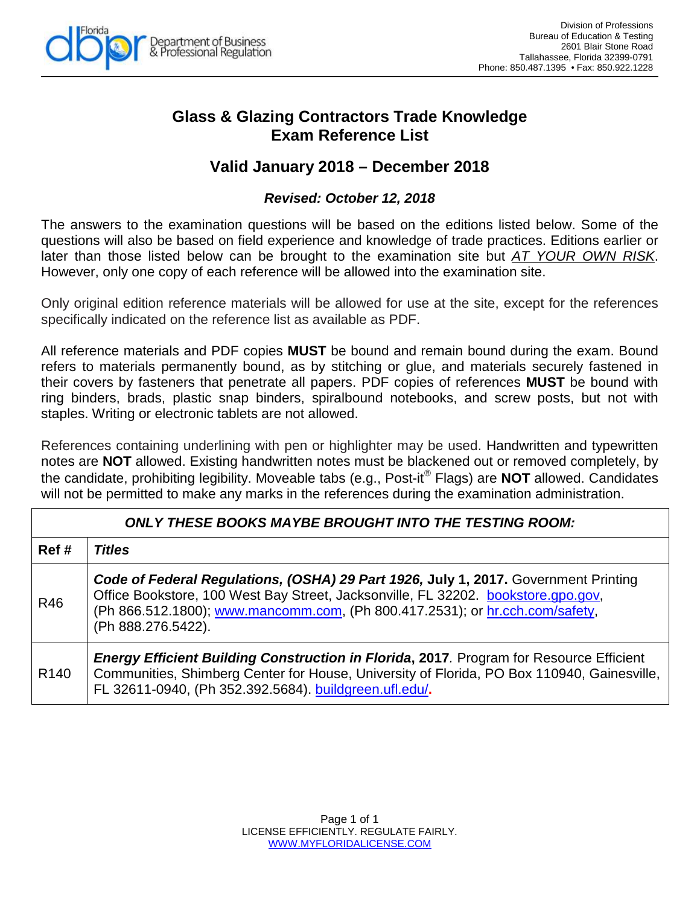

## **Glass & Glazing Contractors Trade Knowledge Exam Reference List**

## **Valid January 2018 – December 2018**

## *Revised: October 12, 2018*

The answers to the examination questions will be based on the editions listed below. Some of the questions will also be based on field experience and knowledge of trade practices. Editions earlier or later than those listed below can be brought to the examination site but *AT YOUR OWN RISK*. However, only one copy of each reference will be allowed into the examination site.

Only original edition reference materials will be allowed for use at the site, except for the references specifically indicated on the reference list as available as PDF.

All reference materials and PDF copies **MUST** be bound and remain bound during the exam. Bound refers to materials permanently bound, as by stitching or glue, and materials securely fastened in their covers by fasteners that penetrate all papers. PDF copies of references **MUST** be bound with ring binders, brads, plastic snap binders, spiralbound notebooks, and screw posts, but not with staples. Writing or electronic tablets are not allowed.

References containing underlining with pen or highlighter may be used. Handwritten and typewritten notes are **NOT** allowed. Existing handwritten notes must be blackened out or removed completely, by the candidate, prohibiting legibility. Moveable tabs (e.g., Post-it<sup>®</sup> Flags) are **NOT** allowed. Candidates will not be permitted to make any marks in the references during the examination administration.

| <b>ONLY THESE BOOKS MAYBE BROUGHT INTO THE TESTING ROOM:</b> |                                                                                                                                                                                                                                                                                |
|--------------------------------------------------------------|--------------------------------------------------------------------------------------------------------------------------------------------------------------------------------------------------------------------------------------------------------------------------------|
| Ref#                                                         | <b>Titles</b>                                                                                                                                                                                                                                                                  |
| R46                                                          | Code of Federal Regulations, (OSHA) 29 Part 1926, July 1, 2017. Government Printing<br>Office Bookstore, 100 West Bay Street, Jacksonville, FL 32202. bookstore.gpo.gov,<br>(Ph 866.512.1800); www.mancomm.com, (Ph 800.417.2531); or hr.cch.com/safety,<br>(Ph 888.276.5422). |
| R <sub>140</sub>                                             | <b>Energy Efficient Building Construction in Florida, 2017.</b> Program for Resource Efficient<br>Communities, Shimberg Center for House, University of Florida, PO Box 110940, Gainesville,<br>FL 32611-0940, (Ph 352.392.5684). buildgreen.ufl.edu/.                         |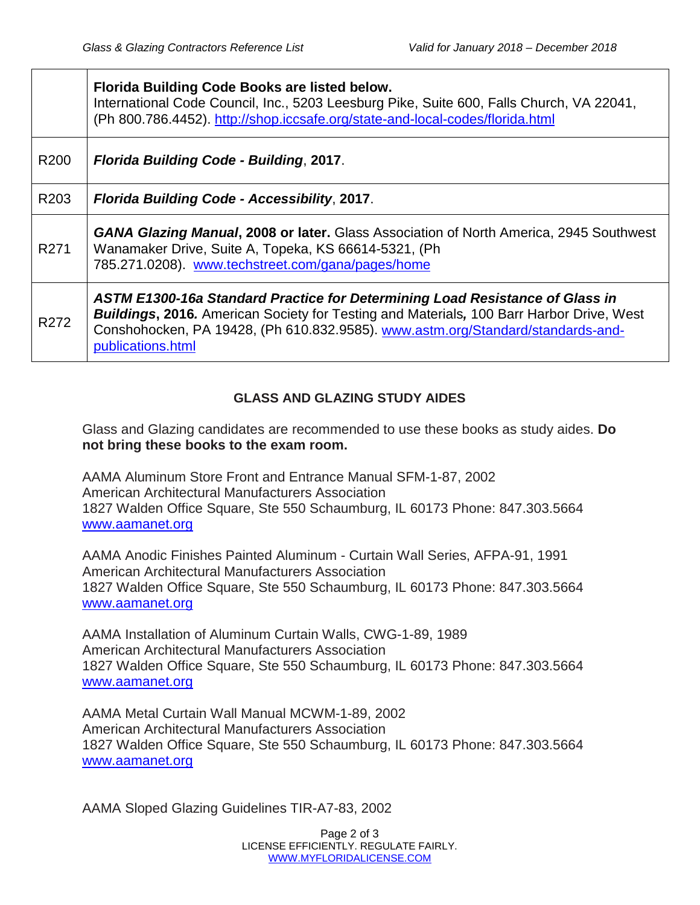|                  | Florida Building Code Books are listed below.<br>International Code Council, Inc., 5203 Leesburg Pike, Suite 600, Falls Church, VA 22041,<br>(Ph 800.786.4452). http://shop.iccsafe.org/state-and-local-codes/florida.html                                                              |
|------------------|-----------------------------------------------------------------------------------------------------------------------------------------------------------------------------------------------------------------------------------------------------------------------------------------|
| R <sub>200</sub> | Florida Building Code - Building, 2017.                                                                                                                                                                                                                                                 |
| R <sub>203</sub> | Florida Building Code - Accessibility, 2017.                                                                                                                                                                                                                                            |
| R <sub>271</sub> | <b>GANA Glazing Manual, 2008 or later.</b> Glass Association of North America, 2945 Southwest<br>Wanamaker Drive, Suite A, Topeka, KS 66614-5321, (Ph<br>785.271.0208). www.techstreet.com/gana/pages/home                                                                              |
| R272             | ASTM E1300-16a Standard Practice for Determining Load Resistance of Glass in<br><b>Buildings, 2016.</b> American Society for Testing and Materials, 100 Barr Harbor Drive, West<br>Conshohocken, PA 19428, (Ph 610.832.9585). www.astm.org/Standard/standards-and-<br>publications.html |

## **GLASS AND GLAZING STUDY AIDES**

Glass and Glazing candidates are recommended to use these books as study aides. **Do not bring these books to the exam room.**

AAMA Aluminum Store Front and Entrance Manual SFM-1-87, 2002 American Architectural Manufacturers Association 1827 Walden Office Square, Ste 550 Schaumburg, IL 60173 Phone: 847.303.5664 [www.aamanet.org](http://www.aamanet.org/)

AAMA Anodic Finishes Painted Aluminum - Curtain Wall Series, AFPA-91, 1991 American Architectural Manufacturers Association 1827 Walden Office Square, Ste 550 Schaumburg, IL 60173 Phone: 847.303.5664 [www.aamanet.org](http://www.aamanet.org/)

AAMA Installation of Aluminum Curtain Walls, CWG-1-89, 1989 American Architectural Manufacturers Association 1827 Walden Office Square, Ste 550 Schaumburg, IL 60173 Phone: 847.303.5664 [www.aamanet.org](http://www.aamanet.org/)

AAMA Metal Curtain Wall Manual MCWM-1-89, 2002 American Architectural Manufacturers Association 1827 Walden Office Square, Ste 550 Schaumburg, IL 60173 Phone: 847.303.5664 [www.aamanet.org](http://www.aamanet.org/)

AAMA Sloped Glazing Guidelines TIR-A7-83, 2002